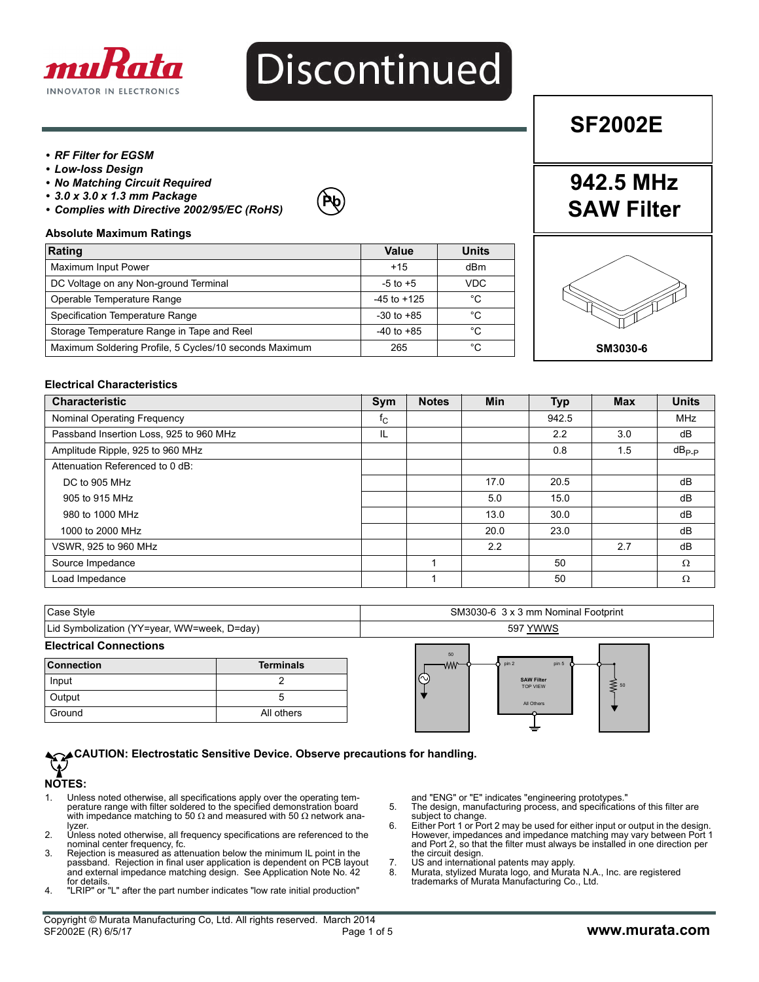

# Discontinued

#### *• RF Filter for EGSM*

- *Low-loss Design*
- *No Matching Circuit Required*
- *3.0 x 3.0 x 1.3 mm Package*
- *Complies with Directive 2002/95/EC (RoHS)*



#### **Absolute Maximum Ratings**

| Rating                                                 | Value           | <b>Units</b> |
|--------------------------------------------------------|-----------------|--------------|
| Maximum Input Power                                    | $+15$           | dBm          |
| DC Voltage on any Non-ground Terminal                  | $-5$ to $+5$    | VDC          |
| Operable Temperature Range                             | $-45$ to $+125$ | °C           |
| Specification Temperature Range                        | $-30$ to $+85$  | °C           |
| Storage Temperature Range in Tape and Reel             | $-40$ to $+85$  | °C           |
| Maximum Soldering Profile, 5 Cycles/10 seconds Maximum | 265             | °C           |

**SF2002E**

**942.5 MHz**

**SAW Filter**

# **SM3030-6**

#### **Electrical Characteristics**

| <b>Characteristic</b>                   | Sym         | <b>Notes</b> | <b>Min</b> | <b>Typ</b> | <b>Max</b> | <b>Units</b> |
|-----------------------------------------|-------------|--------------|------------|------------|------------|--------------|
| Nominal Operating Frequency             | $f_{\rm C}$ |              |            | 942.5      |            | <b>MHz</b>   |
| Passband Insertion Loss, 925 to 960 MHz | IL          |              |            | 2.2        | 3.0        | dB           |
| Amplitude Ripple, 925 to 960 MHz        |             |              |            | 0.8        | 1.5        | $dB_{P-P}$   |
| Attenuation Referenced to 0 dB:         |             |              |            |            |            |              |
| DC to 905 MHz                           |             |              | 17.0       | 20.5       |            | dB           |
| 905 to 915 MHz                          |             |              | 5.0        | 15.0       |            | dB           |
| 980 to 1000 MHz                         |             |              | 13.0       | 30.0       |            | dB           |
| 1000 to 2000 MHz                        |             |              | 20.0       | 23.0       |            | dB           |
| VSWR, 925 to 960 MHz                    |             |              | 2.2        |            | 2.7        | dB           |
| Source Impedance                        |             |              |            | 50         |            | $\Omega$     |
| Load Impedance                          |             |              |            | 50         |            | $\Omega$     |

| Case Style                                  | SM3030-6 3 x 3 mm Nominal Footprint |
|---------------------------------------------|-------------------------------------|
| Lid Symbolization (YY=year, WW=week, D=day) | 597 YWWS                            |
| <b>Electrical Connections</b>               |                                     |

| <b>Connection</b> | <b>Terminals</b> |
|-------------------|------------------|
| Input             |                  |
| Output            |                  |
| Ground            | All others       |



#### **CAUTION: Electrostatic Sensitive Device. Observe precautions for handling.**  $\widehat{\mathbf{Y}}$

#### **NOTES:**

- 1. Unless noted otherwise, all specifications apply over the operating temperature range with filter soldered to the specified demonstration board with impedance matching to 50  $\Omega$  and measured with 50  $\Omega$  network analyzer.
- 2. Unless noted otherwise, all frequency specifications are referenced to the nominal center frequency, fc.
- 3. Rejection is measured as attenuation below the minimum IL point in the passband. Rejection in final user application is dependent on PCB layout and external impedance matching design. See Application Note No. 42 for details.
- 4. "LRIP" or "L" after the part number indicates "low rate initial production"

and "ENG" or "E" indicates "engineering prototypes."

- 5. The design, manufacturing process, and specifications of this filter are subject to change. 6. Either Port 1 or Port 2 may be used for either input or output in the design.
- However, impedances and impedance matching may vary between Port 1 and Port 2, so that the filter must always be installed in one direction per the circuit design.
- 7. US and international patents may apply.<br>8. Murata stylized Murata logo, and Murat
- 8. Murata, stylized Murata logo, and Murata N.A., Inc. are registered trademarks of Murata Manufacturing Co., Ltd.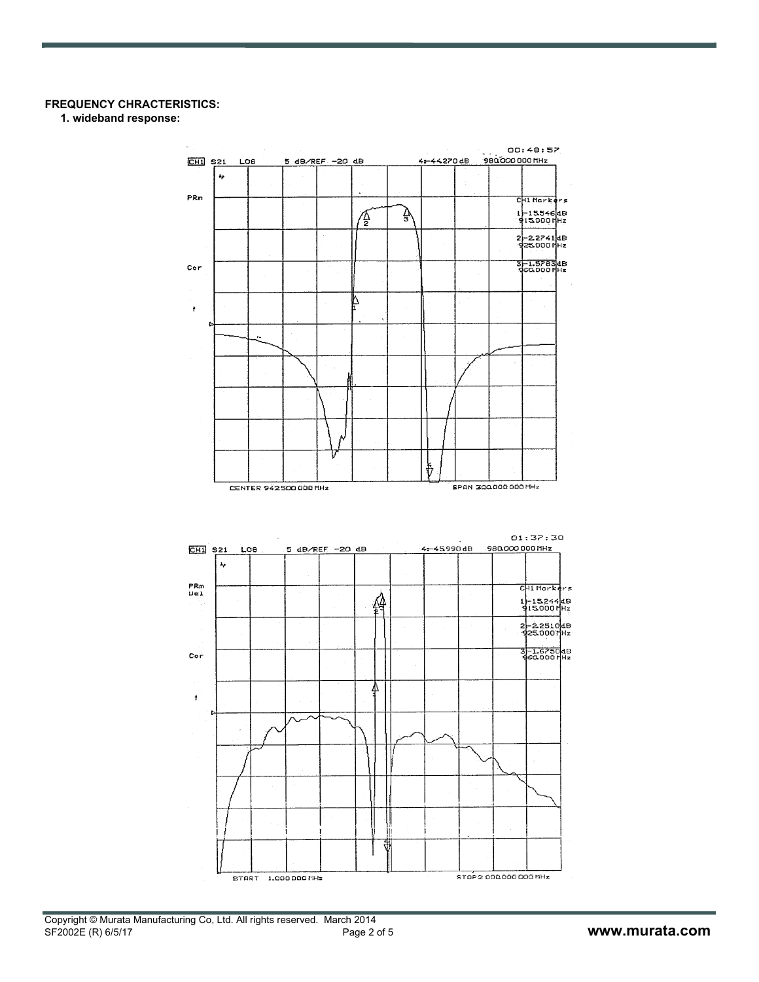#### **FREQUENCY CHRACTERISTICS:**

**1. wideband response:**

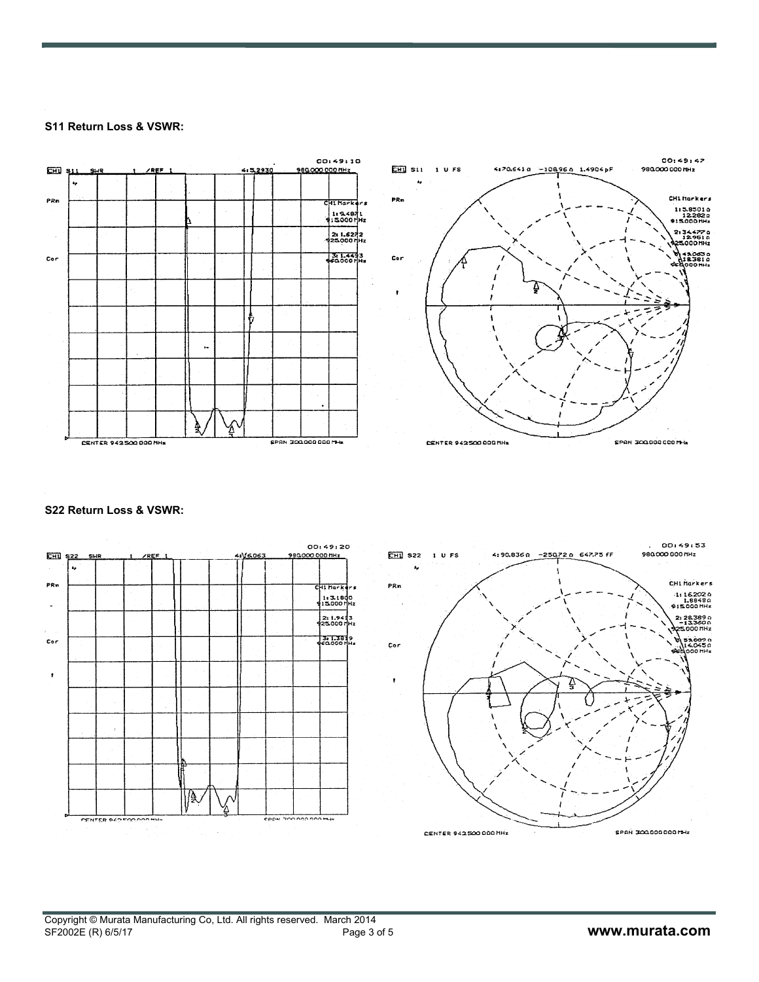#### **S11 Return Loss & VSWR:**



#### **S22 Return Loss & VSWR:**



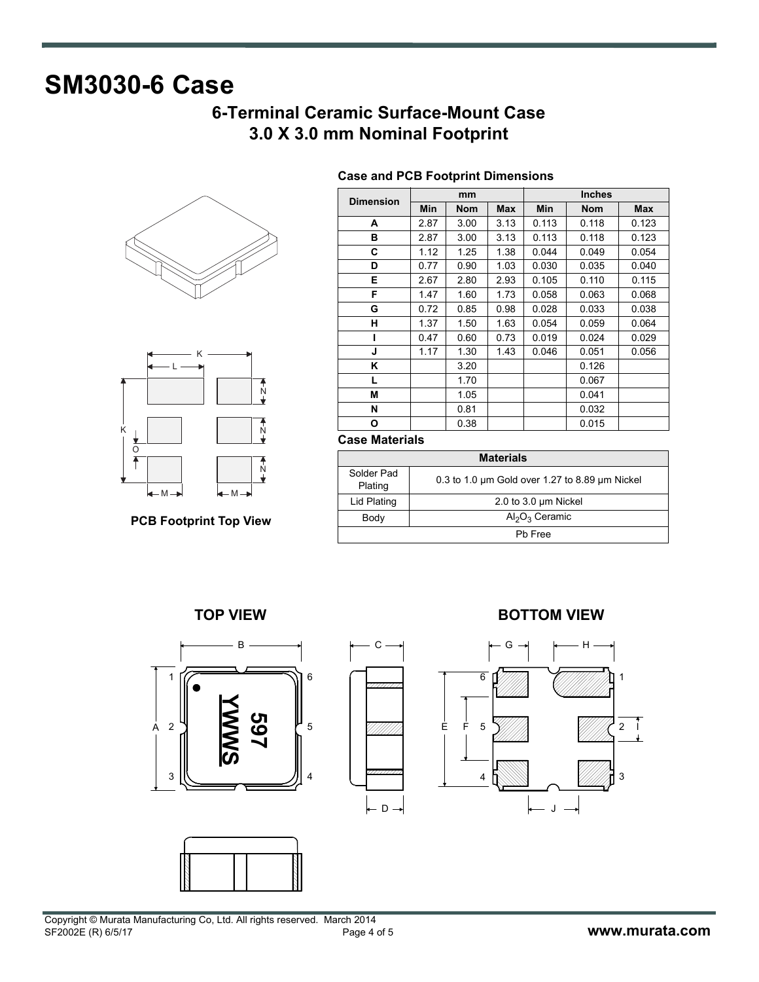# **SM3030-6 Case**

## **6-Terminal Ceramic Surface-Mount Case 3.0 X 3.0 mm Nominal Footprint**





**PCB Footprint Top View**

| <b>Dimension</b> | mm   |            |      | <b>Inches</b> |            |       |  |
|------------------|------|------------|------|---------------|------------|-------|--|
|                  | Min  | <b>Nom</b> | Max  | Min           | <b>Nom</b> | Max   |  |
| A                | 2.87 | 3.00       | 3.13 | 0.113         | 0.118      | 0.123 |  |
| в                | 2.87 | 3.00       | 3.13 | 0.113         | 0.118      | 0.123 |  |
| С                | 1.12 | 1.25       | 1.38 | 0.044         | 0.049      | 0.054 |  |
| D                | 0.77 | 0.90       | 1.03 | 0.030         | 0.035      | 0.040 |  |
| Е                | 2.67 | 2.80       | 2.93 | 0.105         | 0.110      | 0.115 |  |
| F                | 1.47 | 1.60       | 1.73 | 0.058         | 0.063      | 0.068 |  |
| G                | 0.72 | 0.85       | 0.98 | 0.028         | 0.033      | 0.038 |  |
| н                | 1.37 | 1.50       | 1.63 | 0.054         | 0.059      | 0.064 |  |
| ı                | 0.47 | 0.60       | 0.73 | 0.019         | 0.024      | 0.029 |  |
| J                | 1.17 | 1.30       | 1.43 | 0.046         | 0.051      | 0.056 |  |
| Κ                |      | 3.20       |      |               | 0.126      |       |  |
| L                |      | 1.70       |      |               | 0.067      |       |  |
| М                |      | 1.05       |      |               | 0.041      |       |  |
| N                |      | 0.81       |      |               | 0.032      |       |  |
| О                |      | 0.38       |      |               | 0.015      |       |  |

### **Case and PCB Footprint Dimensions**

#### **Case Materials**

| <b>Materials</b>      |                                                          |  |  |  |  |
|-----------------------|----------------------------------------------------------|--|--|--|--|
| Solder Pad<br>Plating | 0.3 to 1.0 $\mu$ m Gold over 1.27 to 8.89 $\mu$ m Nickel |  |  |  |  |
| Lid Plating           | 2.0 to 3.0 um Nickel                                     |  |  |  |  |
| Body                  | $Al_2O_3$ Ceramic                                        |  |  |  |  |
| Ph Free               |                                                          |  |  |  |  |











Copyright © Murata Manufacturing Co, Ltd. All rights reserved. March 2014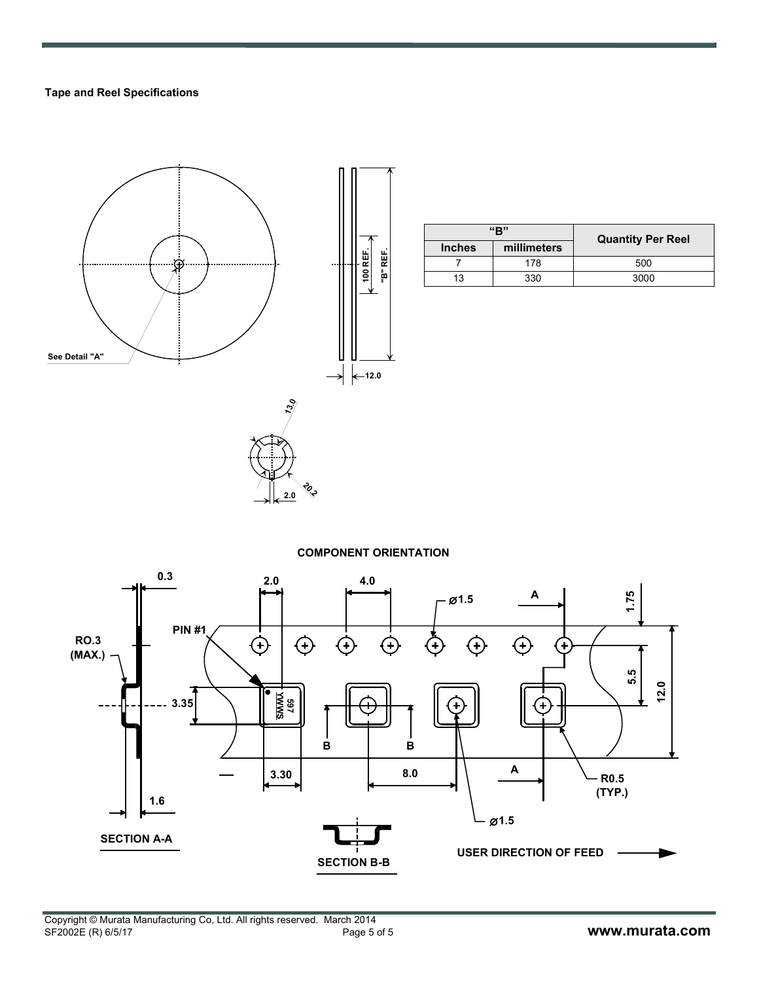#### **Tape and Reel Specifications**



| "R"           |             | <b>Quantity Per Reel</b> |  |  |
|---------------|-------------|--------------------------|--|--|
| <b>Inches</b> | millimeters |                          |  |  |
|               | 178         | 500                      |  |  |
| 13            | 330         | 3000                     |  |  |

#### **COMPONENT ORIENTATION**

**20.2 2.0**